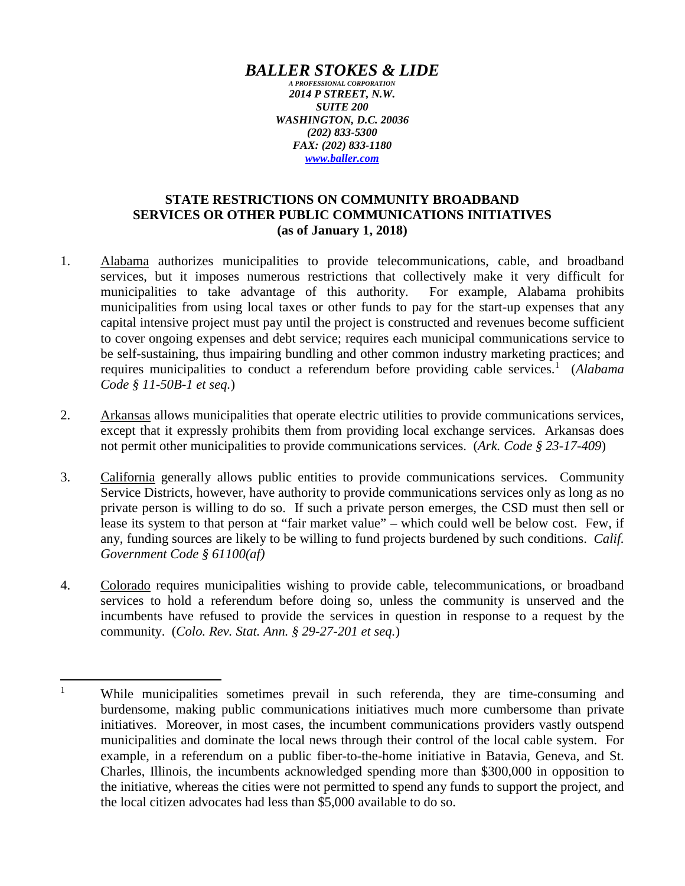## *BALLER STOKES & LIDE*

*A PROFESSIONAL CORPORATION 2014 P STREET, N.W. SUITE 200 WASHINGTON, D.C. 20036 (202) 833-5300 FAX: (202) 833-1180 www.baller.com*

## **STATE RESTRICTIONS ON COMMUNITY BROADBAND SERVICES OR OTHER PUBLIC COMMUNICATIONS INITIATIVES (as of January 1, 2018)**

- 1. Alabama authorizes municipalities to provide telecommunications, cable, and broadband services, but it imposes numerous restrictions that collectively make it very difficult for municipalities to take advantage of this authority. For example, Alabama prohibits municipalities from using local taxes or other funds to pay for the start-up expenses that any capital intensive project must pay until the project is constructed and revenues become sufficient to cover ongoing expenses and debt service; requires each municipal communications service to be self-sustaining, thus impairing bundling and other common industry marketing practices; and requires municipalities to conduct a referendum before providing cable services.<sup>1</sup> (Alabama *Code § 11-50B-1 et seq.*)
- 2. Arkansas allows municipalities that operate electric utilities to provide communications services, except that it expressly prohibits them from providing local exchange services. Arkansas does not permit other municipalities to provide communications services. (*Ark. Code § 23-17-409*)
- 3. California generally allows public entities to provide communications services. Community Service Districts, however, have authority to provide communications services only as long as no private person is willing to do so. If such a private person emerges, the CSD must then sell or lease its system to that person at "fair market value" – which could well be below cost. Few, if any, funding sources are likely to be willing to fund projects burdened by such conditions. *Calif. Government Code § 61100(af)*
- 4. Colorado requires municipalities wishing to provide cable, telecommunications, or broadband services to hold a referendum before doing so, unless the community is unserved and the incumbents have refused to provide the services in question in response to a request by the community. (*Colo. Rev. Stat. Ann. § 29-27-201 et seq.*)

<sup>&</sup>lt;sup>1</sup> While municipalities sometimes prevail in such referenda, they are time-consuming and burdensome, making public communications initiatives much more cumbersome than private initiatives. Moreover, in most cases, the incumbent communications providers vastly outspend municipalities and dominate the local news through their control of the local cable system. For example, in a referendum on a public fiber-to-the-home initiative in Batavia, Geneva, and St. Charles, Illinois, the incumbents acknowledged spending more than \$300,000 in opposition to the initiative, whereas the cities were not permitted to spend any funds to support the project, and the local citizen advocates had less than \$5,000 available to do so.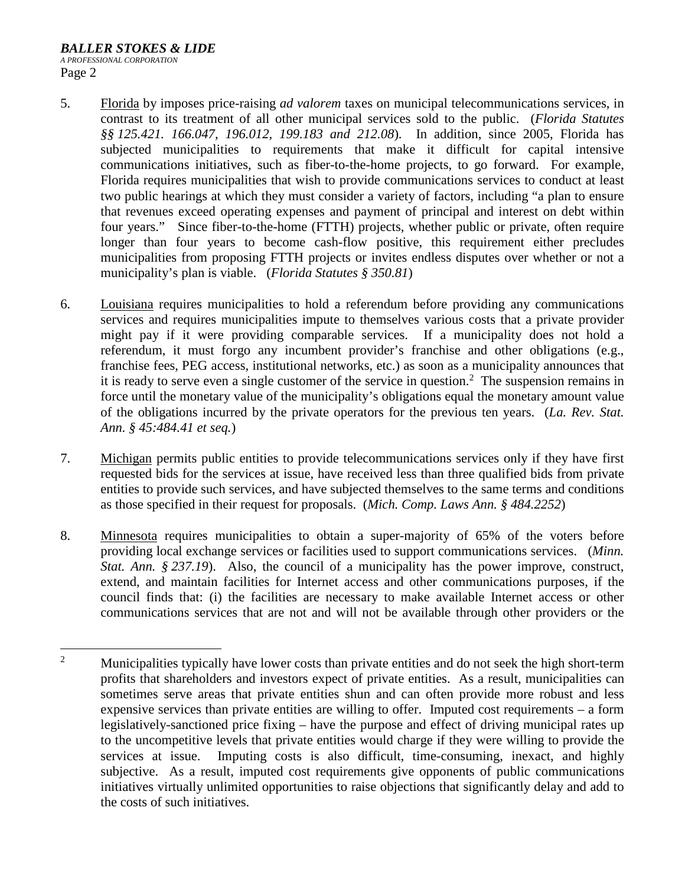- 5. Florida by imposes price-raising *ad valorem* taxes on municipal telecommunications services, in contrast to its treatment of all other municipal services sold to the public. (*Florida Statutes §§ 125.421. 166.047, 196.012, 199.183 and 212.08*). In addition, since 2005, Florida has subjected municipalities to requirements that make it difficult for capital intensive communications initiatives, such as fiber-to-the-home projects, to go forward. For example, Florida requires municipalities that wish to provide communications services to conduct at least two public hearings at which they must consider a variety of factors, including "a plan to ensure that revenues exceed operating expenses and payment of principal and interest on debt within four years." Since fiber-to-the-home (FTTH) projects, whether public or private, often require longer than four years to become cash-flow positive, this requirement either precludes municipalities from proposing FTTH projects or invites endless disputes over whether or not a municipality's plan is viable. (*Florida Statutes § 350.81*)
- 6. Louisiana requires municipalities to hold a referendum before providing any communications services and requires municipalities impute to themselves various costs that a private provider might pay if it were providing comparable services. If a municipality does not hold a referendum, it must forgo any incumbent provider's franchise and other obligations (e.g., franchise fees, PEG access, institutional networks, etc.) as soon as a municipality announces that it is ready to serve even a single customer of the service in question.<sup>2</sup> The suspension remains in force until the monetary value of the municipality's obligations equal the monetary amount value of the obligations incurred by the private operators for the previous ten years. (*La. Rev. Stat. Ann. § 45:484.41 et seq.*)
- 7. Michigan permits public entities to provide telecommunications services only if they have first requested bids for the services at issue, have received less than three qualified bids from private entities to provide such services, and have subjected themselves to the same terms and conditions as those specified in their request for proposals. (*Mich. Comp. Laws Ann. § 484.2252*)
- 8. Minnesota requires municipalities to obtain a super-majority of 65% of the voters before providing local exchange services or facilities used to support communications services. (*Minn. Stat. Ann.* § 237.19). Also, the council of a municipality has the power improve, construct, extend, and maintain facilities for Internet access and other communications purposes, if the council finds that: (i) the facilities are necessary to make available Internet access or other communications services that are not and will not be available through other providers or the

<sup>&</sup>lt;sup>2</sup> Municipalities typically have lower costs than private entities and do not seek the high short-term profits that shareholders and investors expect of private entities. As a result, municipalities can sometimes serve areas that private entities shun and can often provide more robust and less expensive services than private entities are willing to offer. Imputed cost requirements – a form legislatively-sanctioned price fixing – have the purpose and effect of driving municipal rates up to the uncompetitive levels that private entities would charge if they were willing to provide the services at issue. Imputing costs is also difficult, time-consuming, inexact, and highly subjective. As a result, imputed cost requirements give opponents of public communications initiatives virtually unlimited opportunities to raise objections that significantly delay and add to the costs of such initiatives.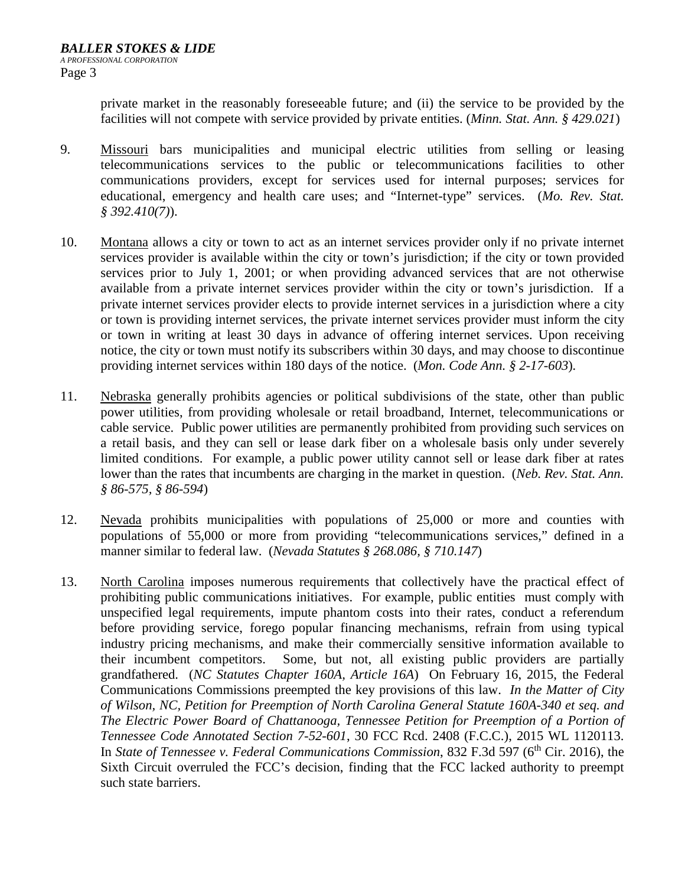private market in the reasonably foreseeable future; and (ii) the service to be provided by the facilities will not compete with service provided by private entities. (*Minn. Stat. Ann. § 429.021*)

- 9. Missouri bars municipalities and municipal electric utilities from selling or leasing telecommunications services to the public or telecommunications facilities to other communications providers, except for services used for internal purposes; services for educational, emergency and health care uses; and "Internet-type" services. (*Mo. Rev. Stat. § 392.410(7)*).
- 10. Montana allows a city or town to act as an internet services provider only if no private internet services provider is available within the city or town's jurisdiction; if the city or town provided services prior to July 1, 2001; or when providing advanced services that are not otherwise available from a private internet services provider within the city or town's jurisdiction. If a private internet services provider elects to provide internet services in a jurisdiction where a city or town is providing internet services, the private internet services provider must inform the city or town in writing at least 30 days in advance of offering internet services. Upon receiving notice, the city or town must notify its subscribers within 30 days, and may choose to discontinue providing internet services within 180 days of the notice. (*Mon. Code Ann. § 2-17-603*)*.*
- 11. Nebraska generally prohibits agencies or political subdivisions of the state, other than public power utilities, from providing wholesale or retail broadband, Internet, telecommunications or cable service. Public power utilities are permanently prohibited from providing such services on a retail basis, and they can sell or lease dark fiber on a wholesale basis only under severely limited conditions. For example, a public power utility cannot sell or lease dark fiber at rates lower than the rates that incumbents are charging in the market in question. (*Neb. Rev. Stat. Ann. § 86-575, § 86-594*)
- 12. Nevada prohibits municipalities with populations of 25,000 or more and counties with populations of 55,000 or more from providing "telecommunications services," defined in a manner similar to federal law. (*Nevada Statutes § 268.086, § 710.147*)
- 13. North Carolina imposes numerous requirements that collectively have the practical effect of prohibiting public communications initiatives. For example, public entities must comply with unspecified legal requirements, impute phantom costs into their rates, conduct a referendum before providing service, forego popular financing mechanisms, refrain from using typical industry pricing mechanisms, and make their commercially sensitive information available to their incumbent competitors. Some, but not, all existing public providers are partially grandfathered. (*NC Statutes Chapter 160A, Article 16A*) On February 16, 2015, the Federal Communications Commissions preempted the key provisions of this law. *In the Matter of City of Wilson, NC, Petition for Preemption of North Carolina General Statute 160A-340 et seq. and The Electric Power Board of Chattanooga, Tennessee Petition for Preemption of a Portion of Tennessee Code Annotated Section 7-52-601*, 30 FCC Rcd. 2408 (F.C.C.), 2015 WL 1120113. In *State of Tennessee v. Federal Communications Commission*, 832 F.3d 597 (6<sup>th</sup> Cir. 2016), the Sixth Circuit overruled the FCC's decision, finding that the FCC lacked authority to preempt such state barriers.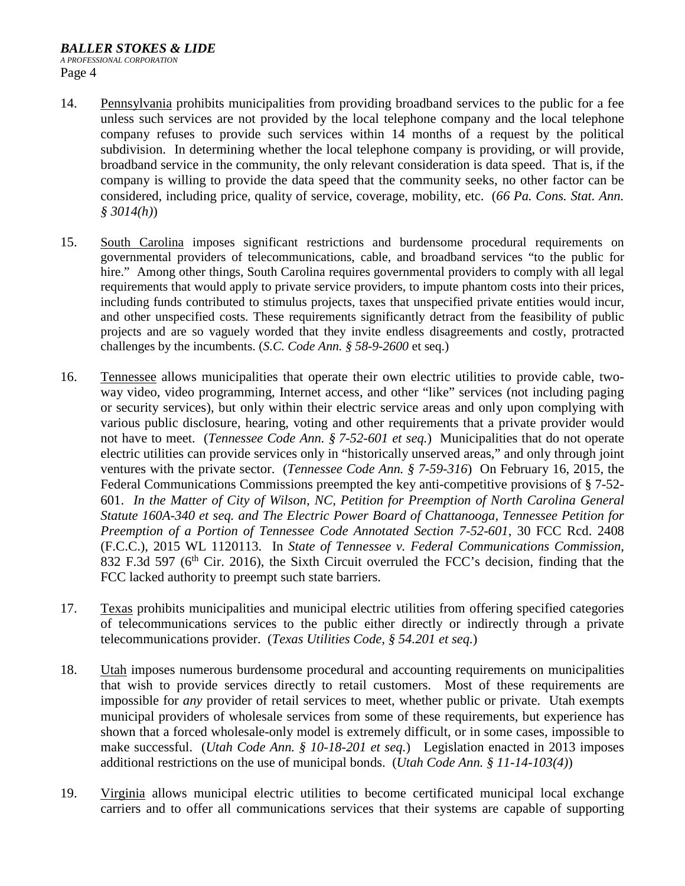## *BALLER STOKES & LIDE A PROFESSIONAL CORPORATION*  Page 4

- 14. Pennsylvania prohibits municipalities from providing broadband services to the public for a fee unless such services are not provided by the local telephone company and the local telephone company refuses to provide such services within 14 months of a request by the political subdivision. In determining whether the local telephone company is providing, or will provide, broadband service in the community, the only relevant consideration is data speed. That is, if the company is willing to provide the data speed that the community seeks, no other factor can be considered, including price, quality of service, coverage, mobility, etc. (*66 Pa. Cons. Stat. Ann. § 3014(h)*)
- 15. South Carolina imposes significant restrictions and burdensome procedural requirements on governmental providers of telecommunications, cable, and broadband services "to the public for hire." Among other things, South Carolina requires governmental providers to comply with all legal requirements that would apply to private service providers, to impute phantom costs into their prices, including funds contributed to stimulus projects, taxes that unspecified private entities would incur, and other unspecified costs. These requirements significantly detract from the feasibility of public projects and are so vaguely worded that they invite endless disagreements and costly, protracted challenges by the incumbents. (*S.C. Code Ann. § 58-9-2600* et seq.)
- 16. Tennessee allows municipalities that operate their own electric utilities to provide cable, twoway video, video programming, Internet access, and other "like" services (not including paging or security services), but only within their electric service areas and only upon complying with various public disclosure, hearing, voting and other requirements that a private provider would not have to meet. (*Tennessee Code Ann. § 7-52-601 et seq.*) Municipalities that do not operate electric utilities can provide services only in "historically unserved areas," and only through joint ventures with the private sector. (*Tennessee Code Ann. § 7-59-316*) On February 16, 2015, the Federal Communications Commissions preempted the key anti-competitive provisions of § 7-52- 601. *In the Matter of City of Wilson, NC, Petition for Preemption of North Carolina General Statute 160A-340 et seq. and The Electric Power Board of Chattanooga, Tennessee Petition for Preemption of a Portion of Tennessee Code Annotated Section 7-52-601*, 30 FCC Rcd. 2408 (F.C.C.), 2015 WL 1120113. In *State of Tennessee v. Federal Communications Commission*, 832 F.3d 597 ( $6<sup>th</sup>$  Cir. 2016), the Sixth Circuit overruled the FCC's decision, finding that the FCC lacked authority to preempt such state barriers.
- 17. Texas prohibits municipalities and municipal electric utilities from offering specified categories of telecommunications services to the public either directly or indirectly through a private telecommunications provider. (*Texas Utilities Code, § 54.201 et seq.*)
- 18. Utah imposes numerous burdensome procedural and accounting requirements on municipalities that wish to provide services directly to retail customers. Most of these requirements are impossible for *any* provider of retail services to meet, whether public or private. Utah exempts municipal providers of wholesale services from some of these requirements, but experience has shown that a forced wholesale-only model is extremely difficult, or in some cases, impossible to make successful. (*Utah Code Ann. § 10-18-201 et seq.*) Legislation enacted in 2013 imposes additional restrictions on the use of municipal bonds. (*Utah Code Ann. § 11-14-103(4)*)
- 19. Virginia allows municipal electric utilities to become certificated municipal local exchange carriers and to offer all communications services that their systems are capable of supporting